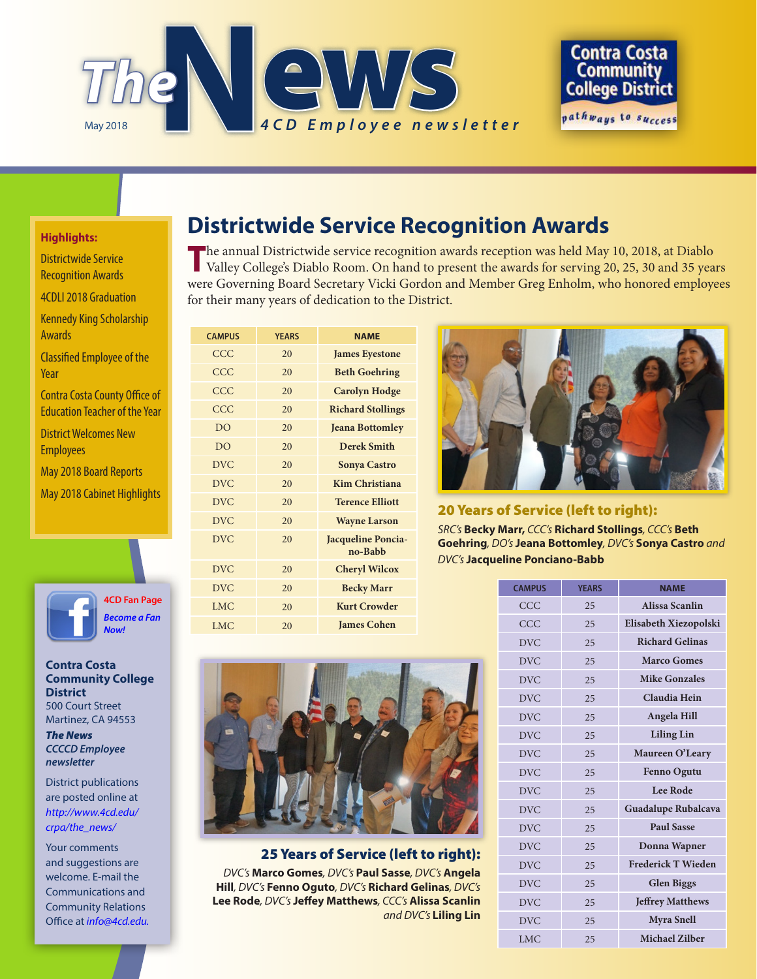

#### **Highlights:**

Districtwide Service Recognition Awards

[4CDLI 2018 Graduation](#page-1-0)

Kennedy King Scholarship Awards

[Classified Employee of the](#page-2-0)  Year

[Contra Costa County Office of](#page-3-0)  Education Teacher of the Year

District Welcomes New **Employees** 

May 2018 Board Reports

May 2018 Cabinet Highlights



**4CD Fan Page** *[Become a Fan](http://www.facebook.com/pages/Martinez-CA/Contra-Costa-Community-College-District/159547331679)  [Now!](http://www.facebook.com/pages/Martinez-CA/Contra-Costa-Community-College-District/159547331679)*

#### **Contra Costa Community College District** 500 Court Street

Martinez, CA 94553

*The News CCCCD Employee newsletter*

District publications are posted online at *[http://www.4cd.edu/](http://www.4cd.edu/crpa/the_news/) [crpa/the\\_news/](http://www.4cd.edu/crpa/the_news/)*

Your comments and suggestions are welcome. E-mail the Communications and Community Relations Office at *[info@4cd.edu.](mailto:info@4cd.edu)*

### **Districtwide Service Recognition Awards**

**The annual Districtwide service recognition awards reception was held May 10, 2018, at Diablo** Valley College's Diablo Room. On hand to present the awards for serving 20, 25, 30 and 35 years were Governing Board Secretary Vicki Gordon and Member Greg Enholm, who honored employees for their many years of dedication to the District.

| <b>NAME</b>                   | <b>YFARS</b> | <b>CAMPUS</b> |
|-------------------------------|--------------|---------------|
| <b>James Eyestone</b>         | 20           | CCC           |
| <b>Beth Goehring</b>          | 20           | CCC           |
| <b>Carolyn Hodge</b>          | 20           | CCC           |
| <b>Richard Stollings</b>      | 20           | CCC           |
| <b>Jeana Bottomley</b>        | 20           | DO            |
| Derek Smith                   | 20           | DO            |
| <b>Sonya Castro</b>           | 20           | <b>DVC</b>    |
| <b>Kim Christiana</b>         | 20           | <b>DVC</b>    |
| <b>Terence Elliott</b>        | 20           | DVC           |
| <b>Wayne Larson</b>           | 20           | <b>DVC</b>    |
| Jacqueline Poncia-<br>no-Babb | 20           | <b>DVC</b>    |
| <b>Cheryl Wilcox</b>          | 20           | <b>DVC</b>    |
| <b>Becky Marr</b>             | 20           | <b>DVC</b>    |
| <b>Kurt Crowder</b>           | 20           | LMC           |
| <b>James Cohen</b>            | 20           | LMC.          |



#### 20 Years of Service (left to right):

*SRC's* **Becky Marr,** *CCC's* **Richard Stollings***, CCC's* **Beth Goehring***, DO's* **Jeana Bottomley***, DVC's* **Sonya Castro** *and DVC's* **Jacqueline Ponciano-Babb**

| <b>NAME</b>               | <b>YEARS</b> | <b>CAMPUS</b> |
|---------------------------|--------------|---------------|
| Alissa Scanlin            | 25           | CCC           |
| Elisabeth Xiezopolski     | 25           | CCC           |
| <b>Richard Gelinas</b>    | 25           | <b>DVC</b>    |
| <b>Marco Gomes</b>        | 25           | <b>DVC</b>    |
| <b>Mike Gonzales</b>      | 25           | <b>DVC</b>    |
| Claudia Hein              | 25           | <b>DVC</b>    |
| Angela Hill               | 25           | <b>DVC</b>    |
| <b>Liling Lin</b>         | 25           | <b>DVC</b>    |
| Maureen O'Leary           | 25           | <b>DVC</b>    |
| <b>Fenno Ogutu</b>        | 25           | <b>DVC</b>    |
| <b>Lee Rode</b>           | 25           | <b>DVC</b>    |
| Guadalupe Rubalcava       | 25           | <b>DVC</b>    |
| <b>Paul Sasse</b>         | 25           | <b>DVC</b>    |
| Donna Wapner              | 25           | <b>DVC</b>    |
| <b>Frederick T Wieden</b> | 25           | <b>DVC</b>    |
| <b>Glen Biggs</b>         | 25           | <b>DVC</b>    |
| <b>Jeffrey Matthews</b>   | 25           | <b>DVC</b>    |
| <b>Myra Snell</b>         | 25           | <b>DVC</b>    |
| <b>Michael Zilber</b>     | 25           | <b>LMC</b>    |



25 Years of Service (left to right):

*DVC's* **Marco Gomes***, DVC's* **Paul Sasse***, DVC's* **Angela Hill***, DVC's* **Fenno Oguto***, DVC's* **Richard Gelinas***, DVC's*  **Lee Rode***, DVC's* **Jeffey Matthews***, CCC's* **Alissa Scanlin** *and DVC's* **Liling Lin**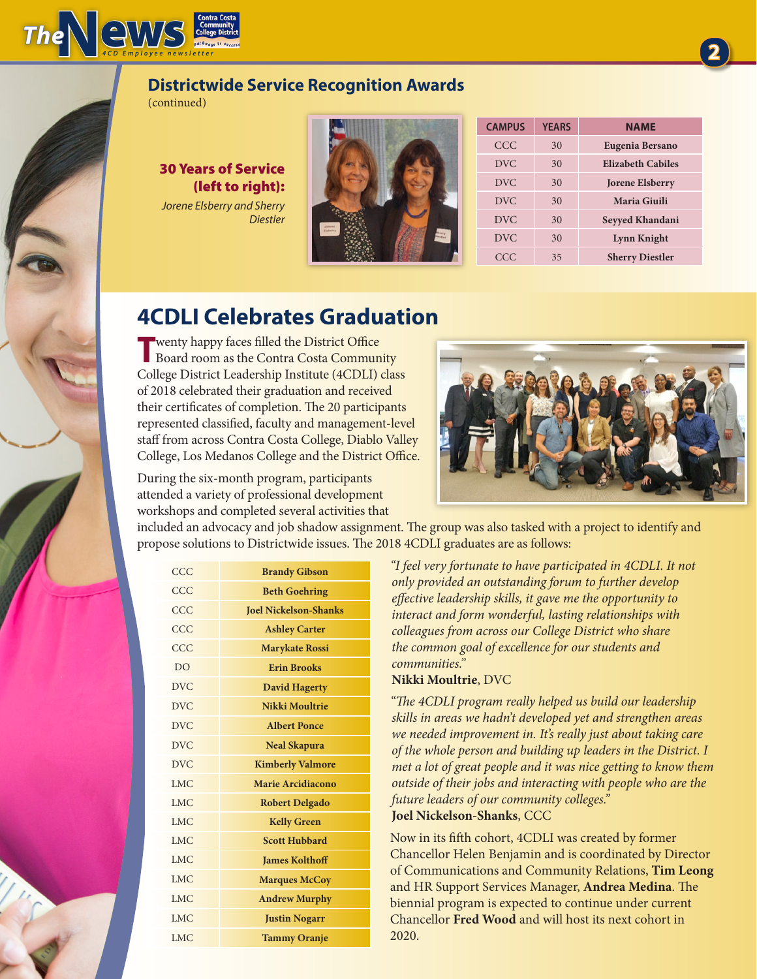<span id="page-1-0"></span>

### **Districtwide Service Recognition Awards**

(continued)

30 Years of Service (left to right): *Jorene Elsberry and Sherry Diestler*



| <b>CAMPUS</b> | <b>YEARS</b> | <b>NAME</b>              |
|---------------|--------------|--------------------------|
| CCC           | 30           | Eugenia Bersano          |
| <b>DVC</b>    | 30           | <b>Elizabeth Cabiles</b> |
| <b>DVC</b>    | 30           | <b>Jorene Elsberry</b>   |
| <b>DVC</b>    | 30           | Maria Giuili             |
| DVC           | 30           | Seyyed Khandani          |
| <b>DVC</b>    | 30           | <b>Lynn Knight</b>       |
| CCC           | 35           | <b>Sherry Diestler</b>   |

## **4CDLI Celebrates Graduation**

**T**wenty happy faces filled the District Office Board room as the Contra Costa Community College District Leadership Institute (4CDLI) class of 2018 celebrated their graduation and received their certificates of completion. The 20 participants represented classified, faculty and management-level staff from across Contra Costa College, Diablo Valley College, Los Medanos College and the District Office.

During the six-month program, participants attended a variety of professional development workshops and completed several activities that



included an advocacy and job shadow assignment. The group was also tasked with a project to identify and propose solutions to Districtwide issues. The 2018 4CDLI graduates are as follows:

| CCC        | <b>Brandy Gibson</b>         |
|------------|------------------------------|
| CCC        | <b>Beth Goehring</b>         |
| CCC        | <b>Joel Nickelson-Shanks</b> |
| CCC        | <b>Ashley Carter</b>         |
| CCC        | <b>Marykate Rossi</b>        |
| DO         | <b>Erin Brooks</b>           |
| DVC        | <b>David Hagerty</b>         |
| DVC        | Nikki Moultrie               |
| <b>DVC</b> | <b>Albert Ponce</b>          |
| DVC        | <b>Neal Skapura</b>          |
| <b>DVC</b> | <b>Kimberly Valmore</b>      |
| LMC        | <b>Marie Arcidiacono</b>     |
| <b>LMC</b> | <b>Robert Delgado</b>        |
| <b>LMC</b> | <b>Kelly Green</b>           |
| LMC        | <b>Scott Hubbard</b>         |
| <b>LMC</b> | <b>James Kolthoff</b>        |
| <b>LMC</b> | <b>Marques McCoy</b>         |
| <b>LMC</b> | <b>Andrew Murphy</b>         |
| <b>LMC</b> | <b>Justin Nogarr</b>         |
| <b>LMC</b> | <b>Tammy Oranje</b>          |

*"I feel very fortunate to have participated in 4CDLI. It not only provided an outstanding forum to further develop effective leadership skills, it gave me the opportunity to interact and form wonderful, lasting relationships with colleagues from across our College District who share the common goal of excellence for our students and communities."*

#### **Nikki Moultrie**, DVC

*"The 4CDLI program really helped us build our leadership skills in areas we hadn't developed yet and strengthen areas we needed improvement in. It's really just about taking care of the whole person and building up leaders in the District. I met a lot of great people and it was nice getting to know them outside of their jobs and interacting with people who are the future leaders of our community colleges."*  **Joel Nickelson-Shanks**, CCC

Now in its fifth cohort, 4CDLI was created by former Chancellor Helen Benjamin and is coordinated by Director of Communications and Community Relations, **Tim Leong** and HR Support Services Manager, **Andrea Medina**. The biennial program is expected to continue under current Chancellor **Fred Wood** and will host its next cohort in 2020.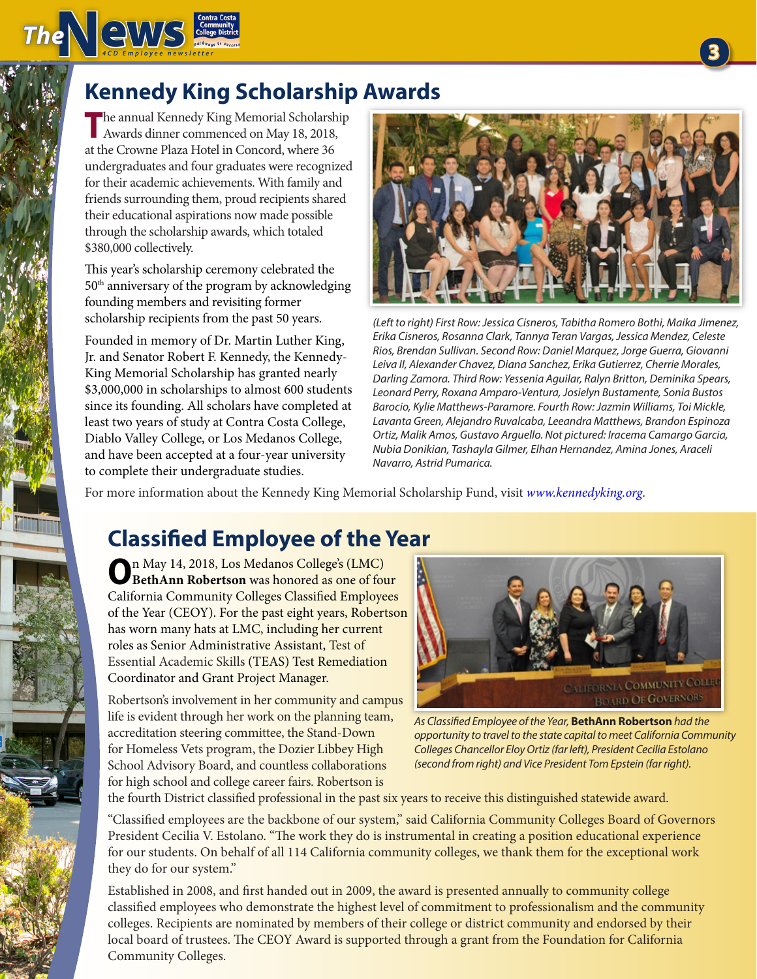<span id="page-2-0"></span>

# **Kennedy King Scholarship Awards**

**T**he annual Kennedy King Memorial Scholarship Awards dinner commenced on May 18, 2018, at the Crowne Plaza Hotel in Concord, where 36 undergraduates and four graduates were recognized for their academic achievements. With family and friends surrounding them, proud recipients shared their educational aspirations now made possible through the scholarship awards, which totaled \$380,000 collectively.

This year's scholarship ceremony celebrated the 50th anniversary of the program by acknowledging founding members and revisiting former scholarship recipients from the past 50 years.

Founded in memory of Dr. Martin Luther King, Jr. and Senator Robert F. Kennedy, the Kennedy-King Memorial Scholarship has granted nearly \$3,000,000 in scholarships to almost 600 students since its founding. All scholars have completed at least two years of study at Contra Costa College, Diablo Valley College, or Los Medanos College, and have been accepted at a four-year university to complete their undergraduate studies.



*(Left to right) First Row: Jessica Cisneros, Tabitha Romero Bothi, Maika Jimenez, Erika Cisneros, Rosanna Clark, Tannya Teran Vargas, Jessica Mendez, Celeste Rios, Brendan Sullivan. Second Row: Daniel Marquez, Jorge Guerra, Giovanni Leiva II, Alexander Chavez, Diana Sanchez, Erika Gutierrez, Cherrie Morales, Darling Zamora. Third Row: Yessenia Aguilar, Ralyn Britton, Deminika Spears, Leonard Perry, Roxana Amparo-Ventura, Josielyn Bustamente, Sonia Bustos Barocio, Kylie Matthews-Paramore. Fourth Row: Jazmin Williams, Toi Mickle, Lavanta Green, Alejandro Ruvalcaba, Leeandra Matthews, Brandon Espinoza Ortiz, Malik Amos, Gustavo Arguello. Not pictured: Iracema Camargo Garcia, Nubia Donikian, Tashayla Gilmer, Elhan Hernandez, Amina Jones, Araceli Navarro, Astrid Pumarica.*

For more information about the Kennedy King Memorial Scholarship Fund, visit *[www.kennedyking.org](http://www.kennedyking.org)*.

## **Classified Employee of the Year**

**O**n May 14, 2018, Los Medanos College's (LMC) **BethAnn Robertson** was honored as one of four California Community Colleges Classified Employees of the Year (CEOY). For the past eight years, Robertson has worn many hats at LMC, including her current roles as Senior Administrative Assistant, Test of Essential Academic Skills (TEAS) Test Remediation Coordinator and Grant Project Manager.

Robertson's involvement in her community and campus life is evident through her work on the planning team, accreditation steering committee, the Stand-Down for Homeless Vets program, the Dozier Libbey High School Advisory Board, and countless collaborations for high school and college career fairs. Robertson is



*As Classified Employee of the Year,* **BethAnn Robertson** *had the opportunity to travel to the state capital to meet California Community Colleges Chancellor Eloy Ortiz (far left), President Cecilia Estolano (second from right) and Vice President Tom Epstein (far right).*

the fourth District classified professional in the past six years to receive this distinguished statewide award.

"Classified employees are the backbone of our system," said California Community Colleges Board of Governors President Cecilia V. Estolano. "The work they do is instrumental in creating a position educational experience for our students. On behalf of all 114 California community colleges, we thank them for the exceptional work they do for our system."

Established in 2008, and first handed out in 2009, the award is presented annually to community college classified employees who demonstrate the highest level of commitment to professionalism and the community colleges. Recipients are nominated by members of their college or district community and endorsed by their local board of trustees. The CEOY Award is supported through a grant from the Foundation for California Community Colleges.

**3**